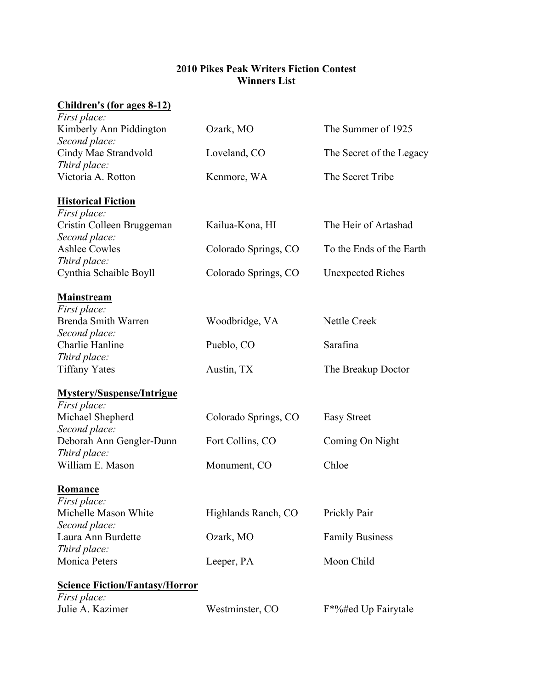## **2010 Pikes Peak Writers Fiction Contest Winners List**

## **Children's (for ages 8-12)**

| <i>First place:</i>                      |                      |                                  |
|------------------------------------------|----------------------|----------------------------------|
| Kimberly Ann Piddington                  | Ozark, MO            | The Summer of 1925               |
| Second place:                            |                      |                                  |
| Cindy Mae Strandvold                     | Loveland, CO         | The Secret of the Legacy         |
| Third place:                             |                      |                                  |
| Victoria A. Rotton                       | Kenmore, WA          | The Secret Tribe                 |
| <b>Historical Fiction</b>                |                      |                                  |
| First place:                             |                      |                                  |
| Cristin Colleen Bruggeman                | Kailua-Kona, HI      | The Heir of Artashad             |
| Second place:                            |                      |                                  |
| <b>Ashlee Cowles</b>                     | Colorado Springs, CO | To the Ends of the Earth         |
| Third place:                             |                      |                                  |
| Cynthia Schaible Boyll                   | Colorado Springs, CO | <b>Unexpected Riches</b>         |
| <b>Mainstream</b>                        |                      |                                  |
| First place:                             |                      |                                  |
| Brenda Smith Warren                      | Woodbridge, VA       | Nettle Creek                     |
| Second place:                            |                      |                                  |
| Charlie Hanline                          | Pueblo, CO           | Sarafina                         |
| Third place:                             |                      |                                  |
| <b>Tiffany Yates</b>                     | Austin, TX           | The Breakup Doctor               |
| <b>Mystery/Suspense/Intrigue</b>         |                      |                                  |
| First place:                             |                      |                                  |
| Michael Shepherd                         | Colorado Springs, CO | <b>Easy Street</b>               |
| Second place:                            |                      |                                  |
| Deborah Ann Gengler-Dunn<br>Third place: | Fort Collins, CO     | Coming On Night                  |
| William E. Mason                         | Monument, CO         | Chloe                            |
|                                          |                      |                                  |
| <b>Romance</b>                           |                      |                                  |
| First place:                             |                      |                                  |
| Michelle Mason White                     | Highlands Ranch, CO  | Prickly Pair                     |
| Second place:                            |                      |                                  |
| Laura Ann Burdette                       | Ozark, MO            | <b>Family Business</b>           |
| Third place:<br>Monica Peters            |                      |                                  |
|                                          | Leeper, PA           | Moon Child                       |
| <b>Science Fiction/Fantasy/Horror</b>    |                      |                                  |
| <i>First place:</i>                      |                      |                                  |
| Julie A. Kazimer                         | Westminster, CO      | F <sup>*%#</sup> ed Up Fairytale |